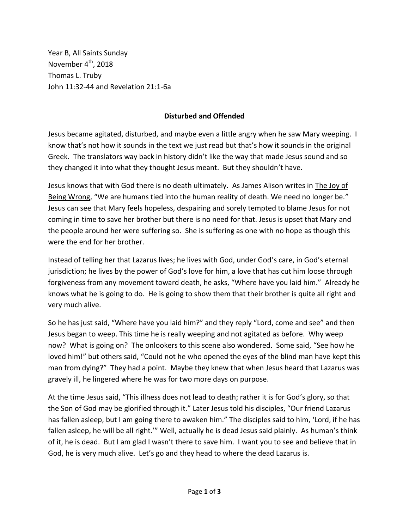Year B, All Saints Sunday November 4<sup>th</sup>, 2018 Thomas L. Truby John 11:32-44 and Revelation 21:1-6a

## **Disturbed and Offended**

Jesus became agitated, disturbed, and maybe even a little angry when he saw Mary weeping. I know that's not how it sounds in the text we just read but that's how it sounds in the original Greek. The translators way back in history didn't like the way that made Jesus sound and so they changed it into what they thought Jesus meant. But they shouldn't have.

Jesus knows that with God there is no death ultimately. As James Alison writes in The Joy of Being Wrong, "We are humans tied into the human reality of death. We need no longer be." Jesus can see that Mary feels hopeless, despairing and sorely tempted to blame Jesus for not coming in time to save her brother but there is no need for that. Jesus is upset that Mary and the people around her were suffering so. She is suffering as one with no hope as though this were the end for her brother.

Instead of telling her that Lazarus lives; he lives with God, under God's care, in God's eternal jurisdiction; he lives by the power of God's love for him, a love that has cut him loose through forgiveness from any movement toward death, he asks, "Where have you laid him." Already he knows what he is going to do. He is going to show them that their brother is quite all right and very much alive.

So he has just said, "Where have you laid him?" and they reply "Lord, come and see" and then Jesus began to weep. This time he is really weeping and not agitated as before. Why weep now? What is going on? The onlookers to this scene also wondered. Some said, "See how he loved him!" but others said, "Could not he who opened the eyes of the blind man have kept this man from dying?" They had a point. Maybe they knew that when Jesus heard that Lazarus was gravely ill, he lingered where he was for two more days on purpose.

At the time Jesus said, "This illness does not lead to death; rather it is for God's glory, so that the Son of God may be glorified through it." Later Jesus told his disciples, "Our friend Lazarus has fallen asleep, but I am going there to awaken him." The disciples said to him, 'Lord, if he has fallen asleep, he will be all right."" Well, actually he is dead Jesus said plainly. As human's think of it, he is dead. But I am glad I wasn't there to save him. I want you to see and believe that in God, he is very much alive. Let's go and they head to where the dead Lazarus is.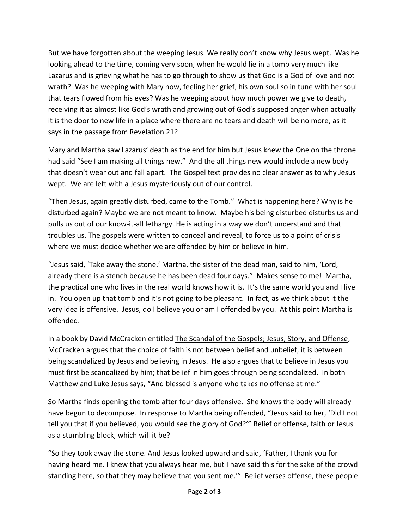But we have forgotten about the weeping Jesus. We really don't know why Jesus wept. Was he looking ahead to the time, coming very soon, when he would lie in a tomb very much like Lazarus and is grieving what he has to go through to show us that God is a God of love and not wrath? Was he weeping with Mary now, feeling her grief, his own soul so in tune with her soul that tears flowed from his eyes? Was he weeping about how much power we give to death, receiving it as almost like God's wrath and growing out of God's supposed anger when actually it is the door to new life in a place where there are no tears and death will be no more, as it says in the passage from Revelation 21?

Mary and Martha saw Lazarus' death as the end for him but Jesus knew the One on the throne had said "See I am making all things new." And the all things new would include a new body that doesn't wear out and fall apart. The Gospel text provides no clear answer as to why Jesus wept. We are left with a Jesus mysteriously out of our control.

"Then Jesus, again greatly disturbed, came to the Tomb." What is happening here? Why is he disturbed again? Maybe we are not meant to know. Maybe his being disturbed disturbs us and pulls us out of our know-it-all lethargy. He is acting in a way we don't understand and that troubles us. The gospels were written to conceal and reveal, to force us to a point of crisis where we must decide whether we are offended by him or believe in him.

"Jesus said, 'Take away the stone.' Martha, the sister of the dead man, said to him, 'Lord, already there is a stench because he has been dead four days." Makes sense to me! Martha, the practical one who lives in the real world knows how it is. It's the same world you and I live in. You open up that tomb and it's not going to be pleasant. In fact, as we think about it the very idea is offensive. Jesus, do I believe you or am I offended by you. At this point Martha is offended.

In a book by David McCracken entitled The Scandal of the Gospels; Jesus, Story, and Offense, McCracken argues that the choice of faith is not between belief and unbelief, it is between being scandalized by Jesus and believing in Jesus. He also argues that to believe in Jesus you must first be scandalized by him; that belief in him goes through being scandalized. In both Matthew and Luke Jesus says, "And blessed is anyone who takes no offense at me."

So Martha finds opening the tomb after four days offensive. She knows the body will already have begun to decompose. In response to Martha being offended, "Jesus said to her, 'Did I not tell you that if you believed, you would see the glory of God?'" Belief or offense, faith or Jesus as a stumbling block, which will it be?

"So they took away the stone. And Jesus looked upward and said, 'Father, I thank you for having heard me. I knew that you always hear me, but I have said this for the sake of the crowd standing here, so that they may believe that you sent me.'" Belief verses offense, these people